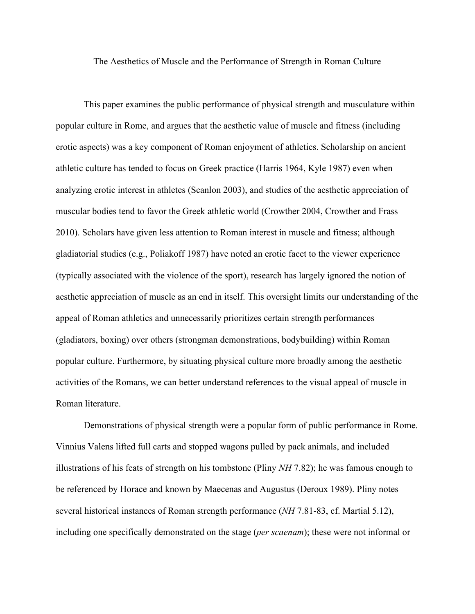The Aesthetics of Muscle and the Performance of Strength in Roman Culture

This paper examines the public performance of physical strength and musculature within popular culture in Rome, and argues that the aesthetic value of muscle and fitness (including erotic aspects) was a key component of Roman enjoyment of athletics. Scholarship on ancient athletic culture has tended to focus on Greek practice (Harris 1964, Kyle 1987) even when analyzing erotic interest in athletes (Scanlon 2003), and studies of the aesthetic appreciation of muscular bodies tend to favor the Greek athletic world (Crowther 2004, Crowther and Frass 2010). Scholars have given less attention to Roman interest in muscle and fitness; although gladiatorial studies (e.g., Poliakoff 1987) have noted an erotic facet to the viewer experience (typically associated with the violence of the sport), research has largely ignored the notion of aesthetic appreciation of muscle as an end in itself. This oversight limits our understanding of the appeal of Roman athletics and unnecessarily prioritizes certain strength performances (gladiators, boxing) over others (strongman demonstrations, bodybuilding) within Roman popular culture. Furthermore, by situating physical culture more broadly among the aesthetic activities of the Romans, we can better understand references to the visual appeal of muscle in Roman literature.

Demonstrations of physical strength were a popular form of public performance in Rome. Vinnius Valens lifted full carts and stopped wagons pulled by pack animals, and included illustrations of his feats of strength on his tombstone (Pliny *NH* 7.82); he was famous enough to be referenced by Horace and known by Maecenas and Augustus (Deroux 1989). Pliny notes several historical instances of Roman strength performance (*NH* 7.81-83, cf. Martial 5.12), including one specifically demonstrated on the stage (*per scaenam*); these were not informal or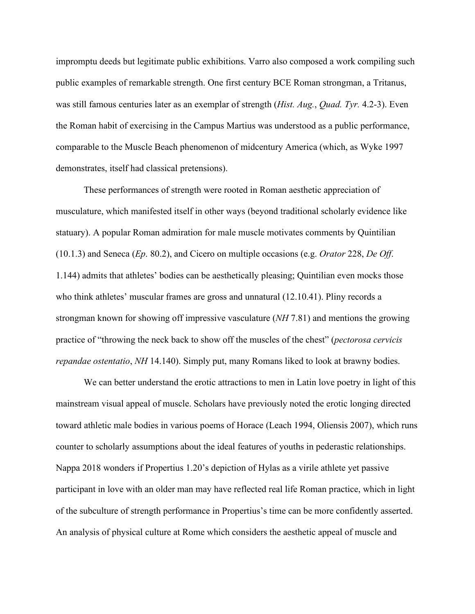impromptu deeds but legitimate public exhibitions. Varro also composed a work compiling such public examples of remarkable strength. One first century BCE Roman strongman, a Tritanus, was still famous centuries later as an exemplar of strength (*Hist. Aug.*, *Quad. Tyr.* 4.2-3). Even the Roman habit of exercising in the Campus Martius was understood as a public performance, comparable to the Muscle Beach phenomenon of midcentury America (which, as Wyke 1997 demonstrates, itself had classical pretensions).

These performances of strength were rooted in Roman aesthetic appreciation of musculature, which manifested itself in other ways (beyond traditional scholarly evidence like statuary). A popular Roman admiration for male muscle motivates comments by Quintilian (10.1.3) and Seneca (*Ep*. 80.2), and Cicero on multiple occasions (e.g. *Orator* 228, *De Off*. 1.144) admits that athletes' bodies can be aesthetically pleasing; Quintilian even mocks those who think athletes' muscular frames are gross and unnatural (12.10.41). Pliny records a strongman known for showing off impressive vasculature (*NH* 7.81) and mentions the growing practice of "throwing the neck back to show off the muscles of the chest" (*pectorosa cervicis repandae ostentatio*, *NH* 14.140). Simply put, many Romans liked to look at brawny bodies.

We can better understand the erotic attractions to men in Latin love poetry in light of this mainstream visual appeal of muscle. Scholars have previously noted the erotic longing directed toward athletic male bodies in various poems of Horace (Leach 1994, Oliensis 2007), which runs counter to scholarly assumptions about the ideal features of youths in pederastic relationships. Nappa 2018 wonders if Propertius 1.20's depiction of Hylas as a virile athlete yet passive participant in love with an older man may have reflected real life Roman practice, which in light of the subculture of strength performance in Propertius's time can be more confidently asserted. An analysis of physical culture at Rome which considers the aesthetic appeal of muscle and